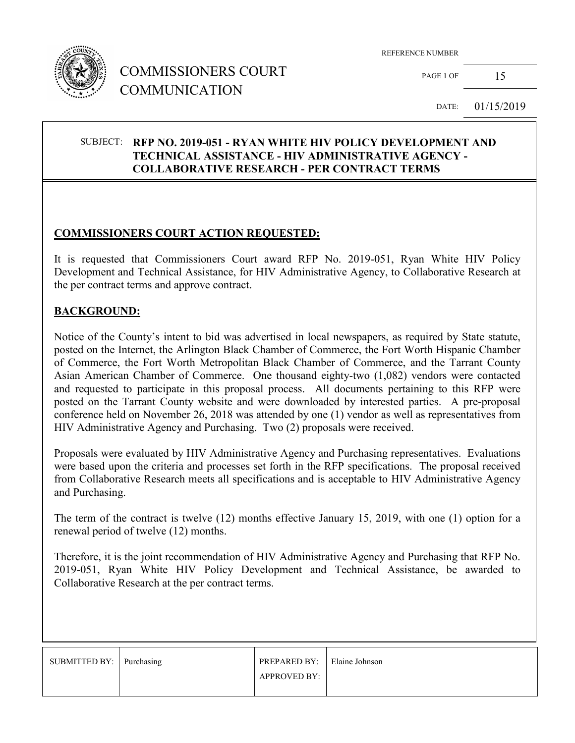

## COMMISSIONERS COURT COMMUNICATION

REFERENCE NUMBER

PAGE 1 OF  $15$ 

DATE: 01/15/2019

#### SUBJECT: **RFP NO. 2019-051 - RYAN WHITE HIV POLICY DEVELOPMENT AND TECHNICAL ASSISTANCE - HIV ADMINISTRATIVE AGENCY - COLLABORATIVE RESEARCH - PER CONTRACT TERMS**

## **COMMISSIONERS COURT ACTION REQUESTED:**

It is requested that Commissioners Court award RFP No. 2019-051, Ryan White HIV Policy Development and Technical Assistance, for HIV Administrative Agency, to Collaborative Research at the per contract terms and approve contract.

#### **BACKGROUND:**

Notice of the County's intent to bid was advertised in local newspapers, as required by State statute, posted on the Internet, the Arlington Black Chamber of Commerce, the Fort Worth Hispanic Chamber of Commerce, the Fort Worth Metropolitan Black Chamber of Commerce, and the Tarrant County Asian American Chamber of Commerce. One thousand eighty-two (1,082) vendors were contacted and requested to participate in this proposal process. All documents pertaining to this RFP were posted on the Tarrant County website and were downloaded by interested parties. A pre-proposal conference held on November 26, 2018 was attended by one (1) vendor as well as representatives from HIV Administrative Agency and Purchasing. Two (2) proposals were received.

Proposals were evaluated by HIV Administrative Agency and Purchasing representatives. Evaluations were based upon the criteria and processes set forth in the RFP specifications. The proposal received from Collaborative Research meets all specifications and is acceptable to HIV Administrative Agency and Purchasing.

The term of the contract is twelve (12) months effective January 15, 2019, with one (1) option for a renewal period of twelve (12) months.

Therefore, it is the joint recommendation of HIV Administrative Agency and Purchasing that RFP No. 2019-051, Ryan White HIV Policy Development and Technical Assistance, be awarded to Collaborative Research at the per contract terms.

| SUBMITTED BY: Purchasing | PREPARED BY: Elaine Johnson |  |
|--------------------------|-----------------------------|--|
|                          | <b>APPROVED BY:</b>         |  |